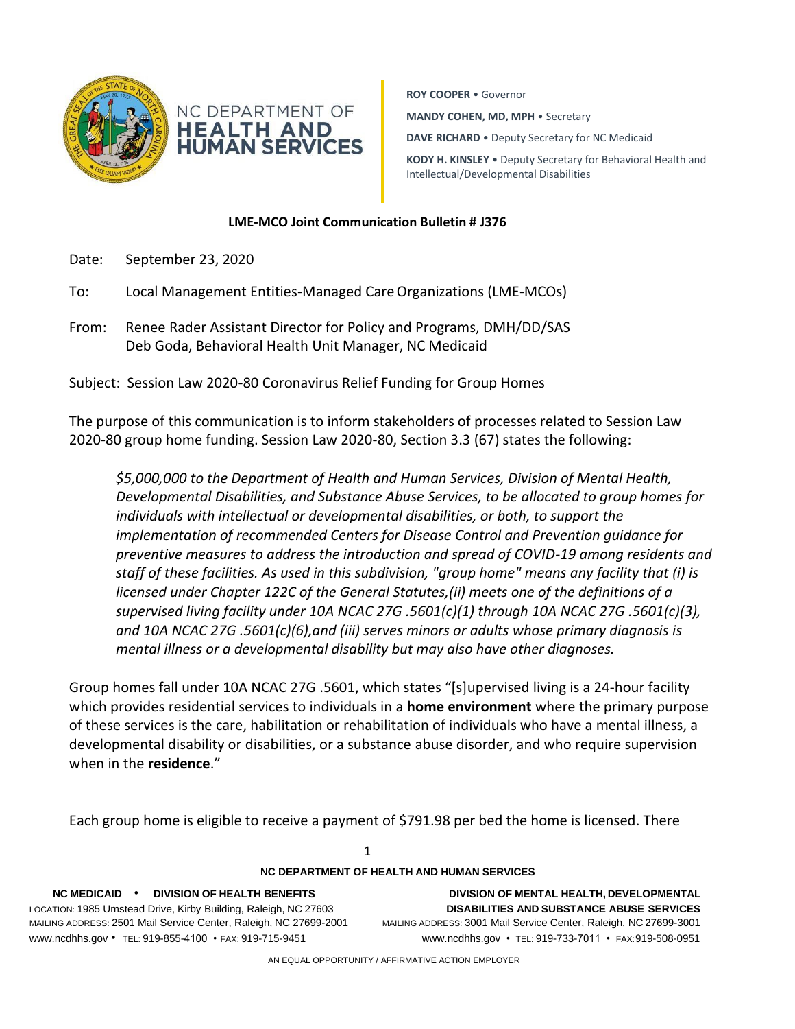

**ROY COOPER** • Governor **MANDY COHEN, MD, MPH** • Secretary **DAVE RICHARD** • Deputy Secretary for NC Medicaid **KODY H. KINSLEY** • Deputy Secretary for Behavioral Health and Intellectual/Developmental Disabilities

### **LME-MCO Joint Communication Bulletin # J376**

- Date: September 23, 2020
- To: Local Management Entities-Managed CareOrganizations (LME-MCOs)
- From: Renee Rader Assistant Director for Policy and Programs, DMH/DD/SAS Deb Goda, Behavioral Health Unit Manager, NC Medicaid

Subject: Session Law 2020-80 Coronavirus Relief Funding for Group Homes

The purpose of this communication is to inform stakeholders of processes related to Session Law 2020-80 group home funding. Session Law 2020-80, Section 3.3 (67) states the following:

*\$5,000,000 to the Department of Health and Human Services, Division of Mental Health, Developmental Disabilities, and Substance Abuse Services, to be allocated to group homes for individuals with intellectual or developmental disabilities, or both, to support the implementation of recommended Centers for Disease Control and Prevention guidance for preventive measures to address the introduction and spread of COVID-19 among residents and staff of these facilities. As used in this subdivision, "group home" means any facility that (i) is licensed under Chapter 122C of the General Statutes,(ii) meets one of the definitions of a supervised living facility under 10A NCAC 27G .5601(c)(1) through 10A NCAC 27G .5601(c)(3), and 10A NCAC 27G .5601(c)(6),and (iii) serves minors or adults whose primary diagnosis is mental illness or a developmental disability but may also have other diagnoses.*

Group homes fall under 10A NCAC 27G .5601, which states "[s]upervised living is a 24-hour facility which provides residential services to individuals in a **home environment** where the primary purpose of these services is the care, habilitation or rehabilitation of individuals who have a mental illness, a developmental disability or disabilities, or a substance abuse disorder, and who require supervision when in the **residence**."

Each group home is eligible to receive a payment of \$791.98 per bed the home is licensed. There

| NC DEPARTMENT OF HEALTH AND HUMAN SERVICES                                                                                                                                                                                                                    |                                                                                                                                                                                                                             |
|---------------------------------------------------------------------------------------------------------------------------------------------------------------------------------------------------------------------------------------------------------------|-----------------------------------------------------------------------------------------------------------------------------------------------------------------------------------------------------------------------------|
| <b>DIVISION OF HEALTH BENEFITS</b><br>$NC$ MEDICAID $\cdot$<br>LOCATION: 1985 Umstead Drive, Kirby Building, Raleigh, NC 27603<br>MAILING ADDRESS: 2501 Mail Service Center, Raleigh, NC 27699-2001<br>www.ncdhhs.gov • TEL: 919-855-4100 • FAX: 919-715-9451 | DIVISION OF MENTAL HEALTH, DEVELOPMENTAL<br><b>DISABILITIES AND SUBSTANCE ABUSE SERVICES</b><br>MAILING ADDRESS: 3001 Mail Service Center, Raleigh, NC 27699-3001<br>www.ncdhhs.gov • TEL: 919-733-7011 • FAX: 919-508-0951 |
|                                                                                                                                                                                                                                                               |                                                                                                                                                                                                                             |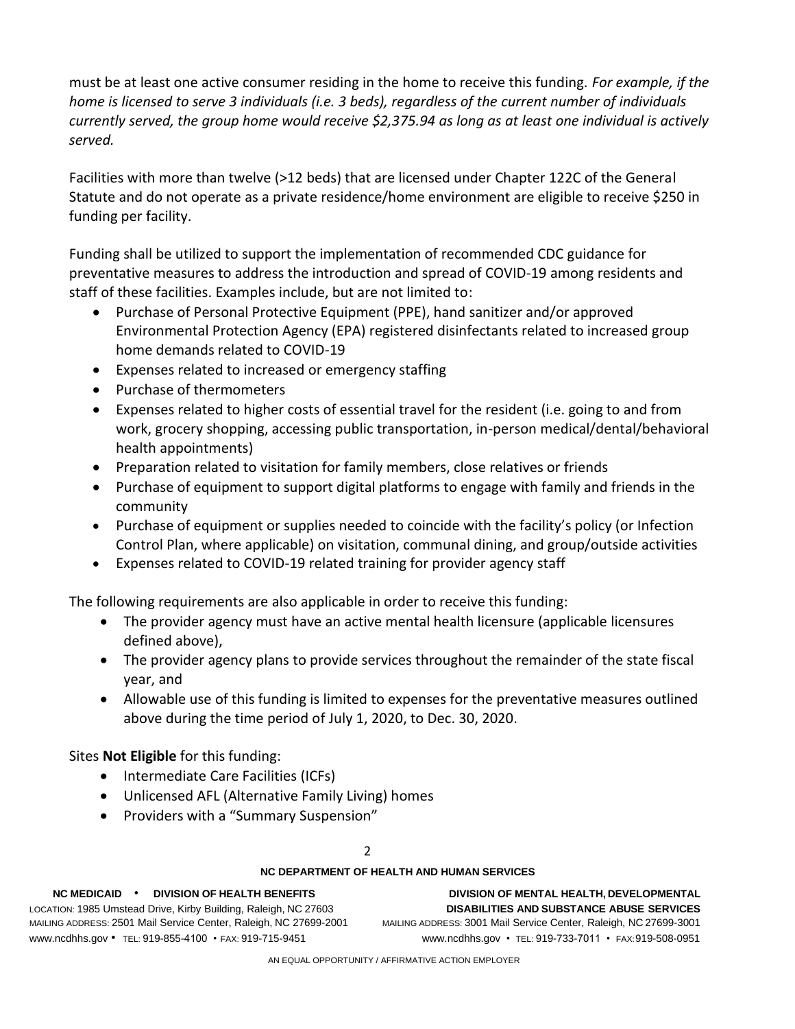must be at least one active consumer residing in the home to receive this funding. *For example, if the home is licensed to serve 3 individuals (i.e. 3 beds), regardless of the current number of individuals currently served, the group home would receive \$2,375.94 as long as at least one individual is actively served.* 

Facilities with more than twelve (>12 beds) that are licensed under Chapter 122C of the General Statute and do not operate as a private residence/home environment are eligible to receive \$250 in funding per facility.

Funding shall be utilized to support the implementation of recommended CDC guidance for preventative measures to address the introduction and spread of COVID-19 among residents and staff of these facilities. Examples include, but are not limited to:

- Purchase of Personal Protective Equipment (PPE), hand sanitizer and/or approved Environmental Protection Agency (EPA) registered disinfectants related to increased group home demands related to COVID-19
- Expenses related to increased or emergency staffing
- Purchase of thermometers
- Expenses related to higher costs of essential travel for the resident (i.e. going to and from work, grocery shopping, accessing public transportation, in-person medical/dental/behavioral health appointments)
- Preparation related to visitation for family members, close relatives or friends
- Purchase of equipment to support digital platforms to engage with family and friends in the community
- Purchase of equipment or supplies needed to coincide with the facility's policy (or Infection Control Plan, where applicable) on visitation, communal dining, and group/outside activities
- Expenses related to COVID-19 related training for provider agency staff

The following requirements are also applicable in order to receive this funding:

- The provider agency must have an active mental health licensure (applicable licensures defined above),
- The provider agency plans to provide services throughout the remainder of the state fiscal year, and
- Allowable use of this funding is limited to expenses for the preventative measures outlined above during the time period of July 1, 2020, to Dec. 30, 2020.

Sites **Not Eligible** for this funding:

- Intermediate Care Facilities (ICFs)
- Unlicensed AFL (Alternative Family Living) homes
- Providers with a "Summary Suspension"

# $\overline{2}$

# **NC DEPARTMENT OF HEALTH AND HUMAN SERVICES**

LOCATION: 1985 Umstead Drive, Kirby Building, Raleigh, NC 27603 **DISABILITIES AND SUBSTANCE ABUSE SERVICES** MAILING ADDRESS: 2501 Mail Service Center, Raleigh, NC 27699-2001 MAILING ADDRESS: 3001 Mail Service Center, Raleigh, NC 27699-3001 [www.ncdhhs.gov](http://www.ncdhhs.gov/) • TEL: 919-855-4100 • FAX: 919-715-9451 [www.ncdhhs.gov](http://www.ncdhhs.gov/) • TEL: 919-733-7011 • FAX:919-508-0951

**NC MEDICAID** • **DIVISION OF HEALTH BENEFITS DIVISION OF MENTAL HEALTH, DEVELOPMENTAL**